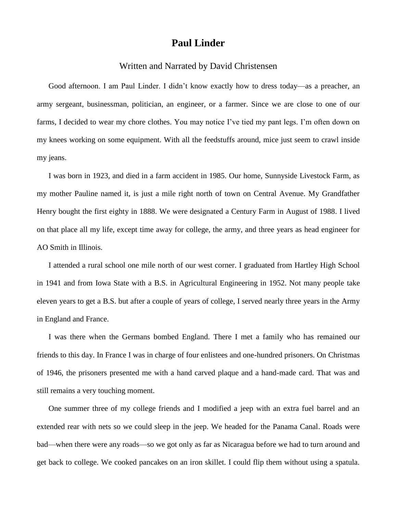## **Paul Linder**

## Written and Narrated by David Christensen

Good afternoon. I am Paul Linder. I didn't know exactly how to dress today—as a preacher, an army sergeant, businessman, politician, an engineer, or a farmer. Since we are close to one of our farms, I decided to wear my chore clothes. You may notice I've tied my pant legs. I'm often down on my knees working on some equipment. With all the feedstuffs around, mice just seem to crawl inside my jeans.

I was born in 1923, and died in a farm accident in 1985. Our home, Sunnyside Livestock Farm, as my mother Pauline named it, is just a mile right north of town on Central Avenue. My Grandfather Henry bought the first eighty in 1888. We were designated a Century Farm in August of 1988. I lived on that place all my life, except time away for college, the army, and three years as head engineer for AO Smith in Illinois.

I attended a rural school one mile north of our west corner. I graduated from Hartley High School in 1941 and from Iowa State with a B.S. in Agricultural Engineering in 1952. Not many people take eleven years to get a B.S. but after a couple of years of college, I served nearly three years in the Army in England and France.

I was there when the Germans bombed England. There I met a family who has remained our friends to this day. In France I was in charge of four enlistees and one-hundred prisoners. On Christmas of 1946, the prisoners presented me with a hand carved plaque and a hand-made card. That was and still remains a very touching moment.

One summer three of my college friends and I modified a jeep with an extra fuel barrel and an extended rear with nets so we could sleep in the jeep. We headed for the Panama Canal. Roads were bad—when there were any roads—so we got only as far as Nicaragua before we had to turn around and get back to college. We cooked pancakes on an iron skillet. I could flip them without using a spatula.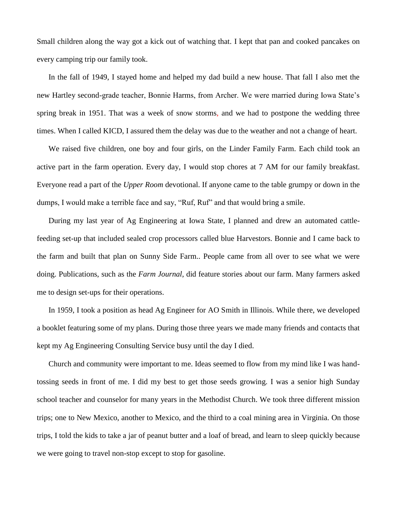Small children along the way got a kick out of watching that. I kept that pan and cooked pancakes on every camping trip our family took.

In the fall of 1949, I stayed home and helped my dad build a new house. That fall I also met the new Hartley second-grade teacher, Bonnie Harms, from Archer. We were married during Iowa State's spring break in 1951. That was a week of snow storms, and we had to postpone the wedding three times. When I called KICD, I assured them the delay was due to the weather and not a change of heart.

We raised five children, one boy and four girls, on the Linder Family Farm. Each child took an active part in the farm operation. Every day, I would stop chores at 7 AM for our family breakfast. Everyone read a part of the *Upper Room* devotional. If anyone came to the table grumpy or down in the dumps, I would make a terrible face and say, "Ruf, Ruf" and that would bring a smile.

During my last year of Ag Engineering at Iowa State, I planned and drew an automated cattlefeeding set-up that included sealed crop processors called blue Harvestors. Bonnie and I came back to the farm and built that plan on Sunny Side Farm.. People came from all over to see what we were doing. Publications, such as the *Farm Journal*, did feature stories about our farm. Many farmers asked me to design set-ups for their operations.

In 1959, I took a position as head Ag Engineer for AO Smith in Illinois. While there, we developed a booklet featuring some of my plans. During those three years we made many friends and contacts that kept my Ag Engineering Consulting Service busy until the day I died.

Church and community were important to me. Ideas seemed to flow from my mind like I was handtossing seeds in front of me. I did my best to get those seeds growing. I was a senior high Sunday school teacher and counselor for many years in the Methodist Church. We took three different mission trips; one to New Mexico, another to Mexico, and the third to a coal mining area in Virginia. On those trips, I told the kids to take a jar of peanut butter and a loaf of bread, and learn to sleep quickly because we were going to travel non-stop except to stop for gasoline.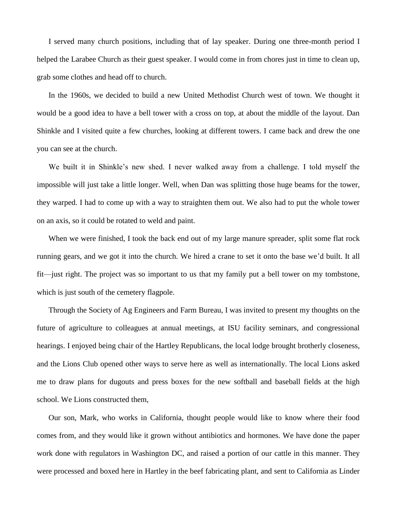I served many church positions, including that of lay speaker. During one three-month period I helped the Larabee Church as their guest speaker. I would come in from chores just in time to clean up, grab some clothes and head off to church.

In the 1960s, we decided to build a new United Methodist Church west of town. We thought it would be a good idea to have a bell tower with a cross on top, at about the middle of the layout. Dan Shinkle and I visited quite a few churches, looking at different towers. I came back and drew the one you can see at the church.

We built it in Shinkle's new shed. I never walked away from a challenge. I told myself the impossible will just take a little longer. Well, when Dan was splitting those huge beams for the tower, they warped. I had to come up with a way to straighten them out. We also had to put the whole tower on an axis, so it could be rotated to weld and paint.

When we were finished, I took the back end out of my large manure spreader, split some flat rock running gears, and we got it into the church. We hired a crane to set it onto the base we'd built. It all fit—just right. The project was so important to us that my family put a bell tower on my tombstone, which is just south of the cemetery flagpole.

Through the Society of Ag Engineers and Farm Bureau, I was invited to present my thoughts on the future of agriculture to colleagues at annual meetings, at ISU facility seminars, and congressional hearings. I enjoyed being chair of the Hartley Republicans, the local lodge brought brotherly closeness, and the Lions Club opened other ways to serve here as well as internationally. The local Lions asked me to draw plans for dugouts and press boxes for the new softball and baseball fields at the high school. We Lions constructed them,

Our son, Mark, who works in California, thought people would like to know where their food comes from, and they would like it grown without antibiotics and hormones. We have done the paper work done with regulators in Washington DC, and raised a portion of our cattle in this manner. They were processed and boxed here in Hartley in the beef fabricating plant, and sent to California as Linder